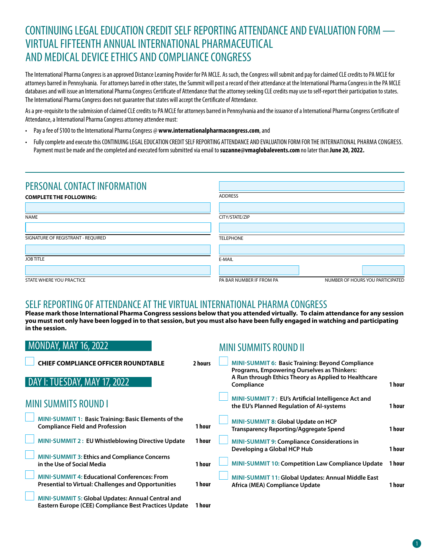# CONTINUING LEGAL EDUCATION CREDIT SELF REPORTING ATTENDANCE AND EVALUATION FORM — VIRTUAL FIFTEENTH ANNUAL INTERNATIONAL PHARMACEUTICAL AND MEDICAL DEVICE ETHICS AND COMPLIANCE CONGRESS

The International Pharma Congress is an approved Distance Learning Provider for PA MCLE. As such, the Congress will submit and pay for claimed CLE credits to PA MCLE for attorneys barred in Pennsylvania. For attorneys barred in other states, the Summit will post a record of their attendance at the International Pharma Congress in the PA MCLE databases and will issue an International Pharma Congress Certificate of Attendance that the attorney seeking CLE credits may use to self-report their participation to states. The International Pharma Congress does not guarantee that states will accept the Certificate of Attendance.

As a pre-requisite to the submission of claimed CLE credits to PA MCLE for attorneys barred in Pennsylvania and the issuance of a International Pharma Congress Certificate of Attendance, a International Pharma Congress attorney attendee must:

- Pay a fee of \$100 to the International Pharma Congress @ **www.internationalpharmacongress.com**, and
- Fully complete and execute this CONTINUING LEGAL EDUCATION CREDIT SELF REPORTING ATTENDANCE AND EVALUATION FORM FOR THE INTERNATIONAL PHARMA CONGRESS. Payment must be made and the completed and executed form submitted via email to **suzanne@vmaglobalevents.com** no later than **June 20, 2022.**

| PERSONAL CONTACT INFORMATION       |                          |                                  |
|------------------------------------|--------------------------|----------------------------------|
| <b>COMPLETE THE FOLLOWING:</b>     | <b>ADDRESS</b>           |                                  |
|                                    |                          |                                  |
| <b>NAME</b>                        | CITY/STATE/ZIP           |                                  |
|                                    |                          |                                  |
| SIGNATURE OF REGISTRANT - REQUIRED | <b>TELEPHONE</b>         |                                  |
|                                    |                          |                                  |
| <b>JOB TITLE</b>                   | E-MAIL                   |                                  |
|                                    |                          |                                  |
| STATE WHERE YOU PRACTICE           | PA BAR NUMBER IF FROM PA | NUMBER OF HOURS YOU PARTICIPATED |

#### SELF REPORTING OF ATTENDANCE AT THE VIRTUAL INTERNATIONAL PHARMA CONGRESS

**Please mark those International Pharma Congress sessions below that you attended virtually. To claim attendance for any session you must not only have been logged in to that session, but you must also have been fully engaged in watching and participating in the session.**

| <b>MONDAY, MAY 16, 2022</b>                                                                                       |         | <b>MINI SUMMITS ROUND II</b>                                                                           |        |
|-------------------------------------------------------------------------------------------------------------------|---------|--------------------------------------------------------------------------------------------------------|--------|
| <b>CHIEF COMPLIANCE OFFICER ROUNDTABLE</b>                                                                        | 2 hours | <b>MINI-SUMMIT 6: Basic Training: Beyond Compliance</b><br>Programs, Empowering Ourselves as Thinkers: |        |
| DAY I: TUESDAY, MAY 17, 2022                                                                                      |         | A Run through Ethics Theory as Applied to Healthcare<br>Compliance                                     | 1 hour |
| <b>MINI SUMMITS ROUND I</b>                                                                                       |         | MINI-SUMMIT 7: EU's Artificial Intelligence Act and<br>the EU's Planned Regulation of AI-systems       | 1 hour |
| <b>MINI-SUMMIT 1: Basic Training: Basic Elements of the</b><br><b>Compliance Field and Profession</b>             | 1 hour  | MINI-SUMMIT 8: Global Update on HCP<br>Transparency Reporting/Aggregate Spend                          | 1 hour |
| MINI-SUMMIT 2: EU Whistleblowing Directive Update                                                                 | 1 hour  | <b>MINI-SUMMIT 9: Compliance Considerations in</b><br>Developing a Global HCP Hub                      | 1 hour |
| <b>MINI-SUMMIT 3: Ethics and Compliance Concerns</b><br>in the Use of Social Media                                | 1 hour  | MINI-SUMMIT 10: Competition Law Compliance Update                                                      | 1 hour |
| <b>MINI-SUMMIT 4: Educational Conferences: From</b><br><b>Presential to Virtual: Challenges and Opportunities</b> | 1 hour  | <b>MINI-SUMMIT 11: Global Updates: Annual Middle East</b><br>Africa (MEA) Compliance Update            | 1 hour |
| MINI-SUMMIT 5: Global Updates: Annual Central and<br>Eastern Europe (CEE) Compliance Best Practices Update        | 1 hour  |                                                                                                        |        |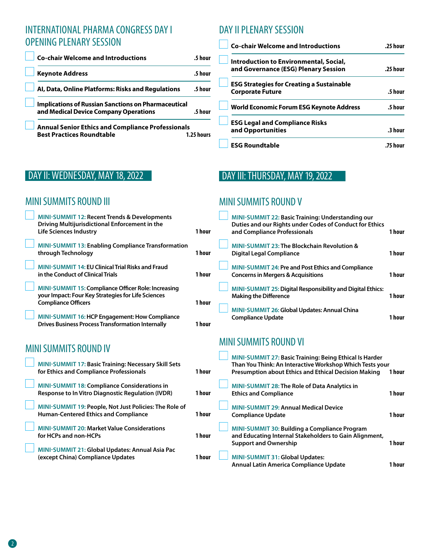# INTERNATIONAL PHARMA CONGRESS DAY I OPENING PLENARY SESSION

| <b>Co-chair Welcome and Introductions</b>                                                           | .5 hour    |
|-----------------------------------------------------------------------------------------------------|------------|
| <b>Keynote Address</b>                                                                              | .5 hour    |
| Al, Data, Online Platforms: Risks and Regulations                                                   | .5 hour    |
| <b>Implications of Russian Sanctions on Pharmaceutical</b><br>and Medical Device Company Operations | .5 hour    |
| <b>Annual Senior Ethics and Compliance Professionals</b><br><b>Best Practices Roundtable</b>        | 1.25 hours |

# DAY II PLENARY SESSION

| <b>Co-chair Welcome and Introductions</b>        | .25 hour |
|--------------------------------------------------|----------|
| Introduction to Environmental, Social,           |          |
| and Governance (ESG) Plenary Session             | .25 hour |
| <b>ESG Strategies for Creating a Sustainable</b> |          |
| <b>Corporate Future</b>                          | .5 hour  |
| World Economic Forum ESG Keynote Address         | .5 hour  |
| <b>ESG Legal and Compliance Risks</b>            |          |
| and Opportunities                                | .3 hour  |
| <b>ESG Roundtable</b>                            |          |

# DAY II: WEDNESDAY, MAY 18, 2022

# MINI SUMMITS ROUND III

| <b>MINI-SUMMIT 12: Recent Trends &amp; Developments</b><br>Driving Multijurisdictional Enforcement in the<br><b>Life Sciences Industry</b> | 1 hour |
|--------------------------------------------------------------------------------------------------------------------------------------------|--------|
| <b>MINI-SUMMIT 13: Enabling Compliance Transformation</b><br>through Technology                                                            | 1 hour |
| <b>MINI-SUMMIT 14: EU Clinical Trial Risks and Fraud</b><br>in the Conduct of Clinical Trials                                              | 1 hour |
| MINI-SUMMIT 15: Compliance Officer Role: Increasing<br>your Impact: Four Key Strategies for Life Sciences<br><b>Compliance Officers</b>    | 1 hour |
| MINI-SUMMIT 16: HCP Engagement: How Compliance<br><b>Drives Business Process Transformation Internally</b>                                 | 1 hour |
| <b>MINI SUMMITS ROUND IV</b>                                                                                                               |        |
| MINI-SUMMIT 17: Basic Training: Necessary Skill Sets<br>for Ethics and Compliance Professionals                                            | 1 hour |
| <b>MINI-SUMMIT 18: Compliance Considerations in</b><br><b>Response to In Vitro Diagnostic Regulation (IVDR)</b>                            | 1 hour |
| MINI-SUMMIT 19: People, Not Just Policies: The Role of<br><b>Human-Centered Ethics and Compliance</b>                                      | 1 hour |
| <b>MINI-SUMMIT 20: Market Value Considerations</b><br>for HCPs and non-HCPs                                                                | 1 hour |
| MINI-SUMMIT 21: Global Updates: Annual Asia Pac<br>(except China) Compliance Updates                                                       | 1 hour |

# DAY III: THURSDAY, MAY 19, 2022

### MINI SUMMITS ROUND V

| MINI-SUMMIT 22: Basic Training: Understanding our<br>Duties and our Rights under Codes of Conduct for Ethics<br>and Compliance Professionals | 1 hour |
|----------------------------------------------------------------------------------------------------------------------------------------------|--------|
| MINI-SUMMIT 23: The Blockchain Revolution &<br>Digital Legal Compliance                                                                      | 1 hour |
| <b>MINI-SUMMIT 24: Pre and Post Ethics and Compliance</b><br><b>Concerns in Mergers &amp; Acquisitions</b>                                   | 1 hour |
| <b>MINI-SUMMIT 25: Digital Responsibility and Digital Ethics:</b><br><b>Making the Difference</b>                                            | 1 hour |
| <b>MINI-SUMMIT 26: Global Updates: Annual China</b><br><b>Compliance Update</b>                                                              |        |

# MINI SUMMITS ROUND VI

| 1 hour | MINI-SUMMIT 27: Basic Training: Being Ethical Is Harder<br>Than You Think: An Interactive Workshop Which Tests your<br><b>Presumption about Ethics and Ethical Decision Making</b> | 1 hour |
|--------|------------------------------------------------------------------------------------------------------------------------------------------------------------------------------------|--------|
| 1 hour | <b>MINI-SUMMIT 28: The Role of Data Analytics in</b><br><b>Ethics and Compliance</b>                                                                                               | 1 hour |
| 1 hour | <b>MINI-SUMMIT 29: Annual Medical Device</b><br><b>Compliance Update</b>                                                                                                           | 1 hour |
| 1 hour | MINI-SUMMIT 30: Building a Compliance Program<br>and Educating Internal Stakeholders to Gain Alignment,<br><b>Support and Ownership</b>                                            | 1 hour |
| 1 hour | MINI-SUMMIT 31: Global Updates:<br>Annual Latin America Compliance Update                                                                                                          | 1 hour |